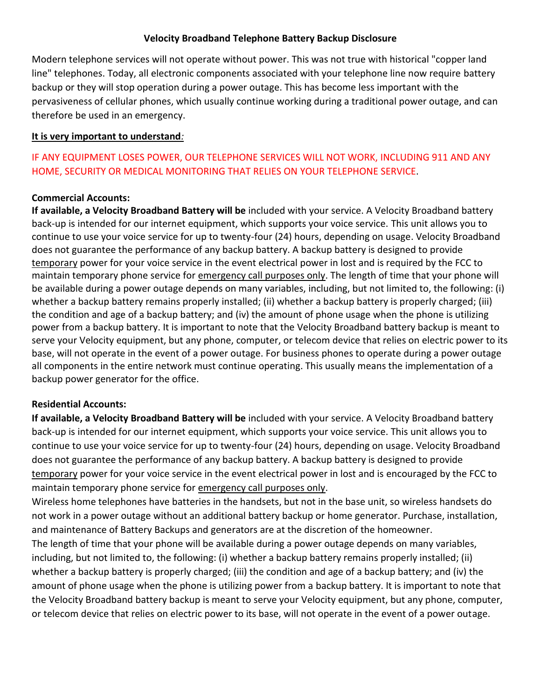## **Velocity Broadband Telephone Battery Backup Disclosure**

Modern telephone services will not operate without power. This was not true with historical "copper land line" telephones. Today, all electronic components associated with your telephone line now require battery backup or they will stop operation during a power outage. This has become less important with the pervasiveness of cellular phones, which usually continue working during a traditional power outage, and can therefore be used in an emergency.

#### **It is very important to understand***:*

# IF ANY EQUIPMENT LOSES POWER, OUR TELEPHONE SERVICES WILL NOT WORK, INCLUDING 911 AND ANY HOME, SECURITY OR MEDICAL MONITORING THAT RELIES ON YOUR TELEPHONE SERVICE.

#### **Commercial Accounts:**

**If available, a Velocity Broadband Battery will be** included with your service. A Velocity Broadband battery back-up is intended for our internet equipment, which supports your voice service. This unit allows you to continue to use your voice service for up to twenty-four (24) hours, depending on usage. Velocity Broadband does not guarantee the performance of any backup battery. A backup battery is designed to provide temporary power for your voice service in the event electrical power in lost and is required by the FCC to maintain temporary phone service for emergency call purposes only. The length of time that your phone will be available during a power outage depends on many variables, including, but not limited to, the following: (i) whether a backup battery remains properly installed; (ii) whether a backup battery is properly charged; (iii) the condition and age of a backup battery; and (iv) the amount of phone usage when the phone is utilizing power from a backup battery. It is important to note that the Velocity Broadband battery backup is meant to serve your Velocity equipment, but any phone, computer, or telecom device that relies on electric power to its base, will not operate in the event of a power outage. For business phones to operate during a power outage all components in the entire network must continue operating. This usually means the implementation of a backup power generator for the office.

# **Residential Accounts:**

**If available, a Velocity Broadband Battery will be** included with your service. A Velocity Broadband battery back-up is intended for our internet equipment, which supports your voice service. This unit allows you to continue to use your voice service for up to twenty-four (24) hours, depending on usage. Velocity Broadband does not guarantee the performance of any backup battery. A backup battery is designed to provide temporary power for your voice service in the event electrical power in lost and is encouraged by the FCC to maintain temporary phone service for emergency call purposes only.

Wireless home telephones have batteries in the handsets, but not in the base unit, so wireless handsets do not work in a power outage without an additional battery backup or home generator. Purchase, installation, and maintenance of Battery Backups and generators are at the discretion of the homeowner.

The length of time that your phone will be available during a power outage depends on many variables, including, but not limited to, the following: (i) whether a backup battery remains properly installed; (ii) whether a backup battery is properly charged; (iii) the condition and age of a backup battery; and (iv) the amount of phone usage when the phone is utilizing power from a backup battery. It is important to note that the Velocity Broadband battery backup is meant to serve your Velocity equipment, but any phone, computer, or telecom device that relies on electric power to its base, will not operate in the event of a power outage.